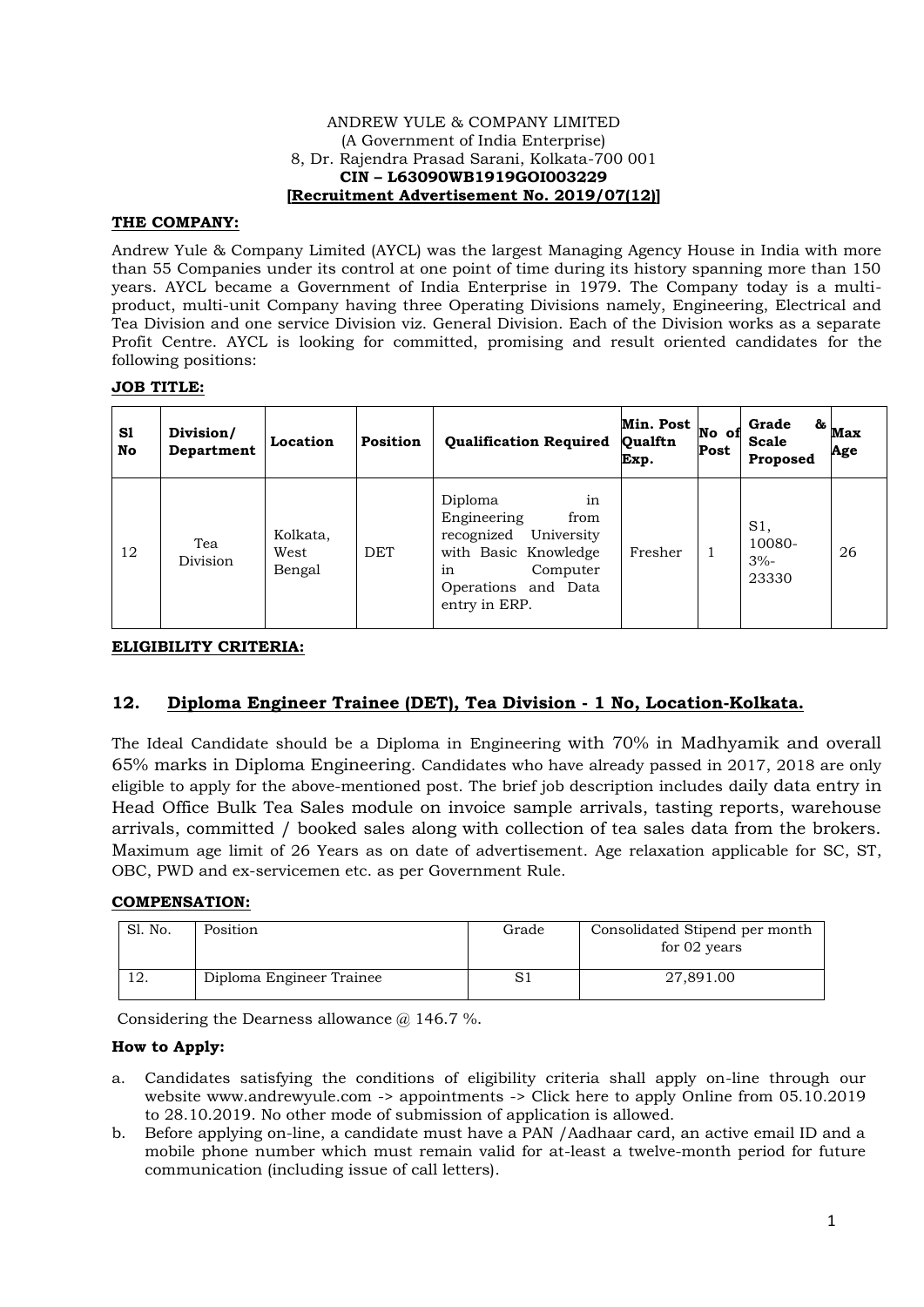#### ANDREW YULE & COMPANY LIMITED (A Government of India Enterprise) 8, Dr. Rajendra Prasad Sarani, Kolkata-700 001 **CIN – L63090WB1919GOI003229 [Recruitment Advertisement No. 2019/07(12)]**

# **THE COMPANY:**

Andrew Yule & Company Limited (AYCL) was the largest Managing Agency House in India with more than 55 Companies under its control at one point of time during its history spanning more than 150 years. AYCL became a Government of India Enterprise in 1979. The Company today is a multiproduct, multi-unit Company having three Operating Divisions namely, Engineering, Electrical and Tea Division and one service Division viz. General Division. Each of the Division works as a separate Profit Centre. AYCL is looking for committed, promising and result oriented candidates for the following positions:

## **JOB TITLE:**

| S1<br>No | Division/<br>Department | Location                   | Position   | <b>Qualification Required</b>                                                                                                                      | Min. Post<br>Qualftn<br>Exp. | No of<br>Post | Grade<br><b>Scale</b><br>Proposed | $\mathbf{\overset{a}{\phantom{\cdot}}\mathbf{a}_{max}}$<br>Age |
|----------|-------------------------|----------------------------|------------|----------------------------------------------------------------------------------------------------------------------------------------------------|------------------------------|---------------|-----------------------------------|----------------------------------------------------------------|
| 12       | Tea<br>Division         | Kolkata,<br>West<br>Bengal | <b>DET</b> | in<br>Diploma<br>Engineering<br>from<br>recognized<br>University<br>with Basic Knowledge<br>Computer<br>in<br>Operations and Data<br>entry in ERP. | Fresher                      | -1            | S1,<br>10080-<br>$3% -$<br>23330  | 26                                                             |

# **ELIGIBILITY CRITERIA:**

# **12. Diploma Engineer Trainee (DET), Tea Division - 1 No, Location-Kolkata.**

The Ideal Candidate should be a Diploma in Engineering with 70% in Madhyamik and overall 65% marks in Diploma Engineering. Candidates who have already passed in 2017, 2018 are only eligible to apply for the above-mentioned post. The brief job description includes daily data entry in Head Office Bulk Tea Sales module on invoice sample arrivals, tasting reports, warehouse arrivals, committed / booked sales along with collection of tea sales data from the brokers. Maximum age limit of 26 Years as on date of advertisement. Age relaxation applicable for SC, ST, OBC, PWD and ex-servicemen etc. as per Government Rule.

## **COMPENSATION:**

| Sl. No. | Position                 | Grade | Consolidated Stipend per month<br>for 02 years |
|---------|--------------------------|-------|------------------------------------------------|
| 12.     | Diploma Engineer Trainee |       | 27,891.00                                      |

Considering the Dearness allowance  $\omega$  146.7 %.

## **How to Apply:**

- a. Candidates satisfying the conditions of eligibility criteria shall apply on-line through our website www.andrewyule.com -> appointments -> Click here to apply Online from 05.10.2019 to 28.10.2019. No other mode of submission of application is allowed.
- b. Before applying on-line, a candidate must have a PAN /Aadhaar card, an active email ID and a mobile phone number which must remain valid for at-least a twelve-month period for future communication (including issue of call letters).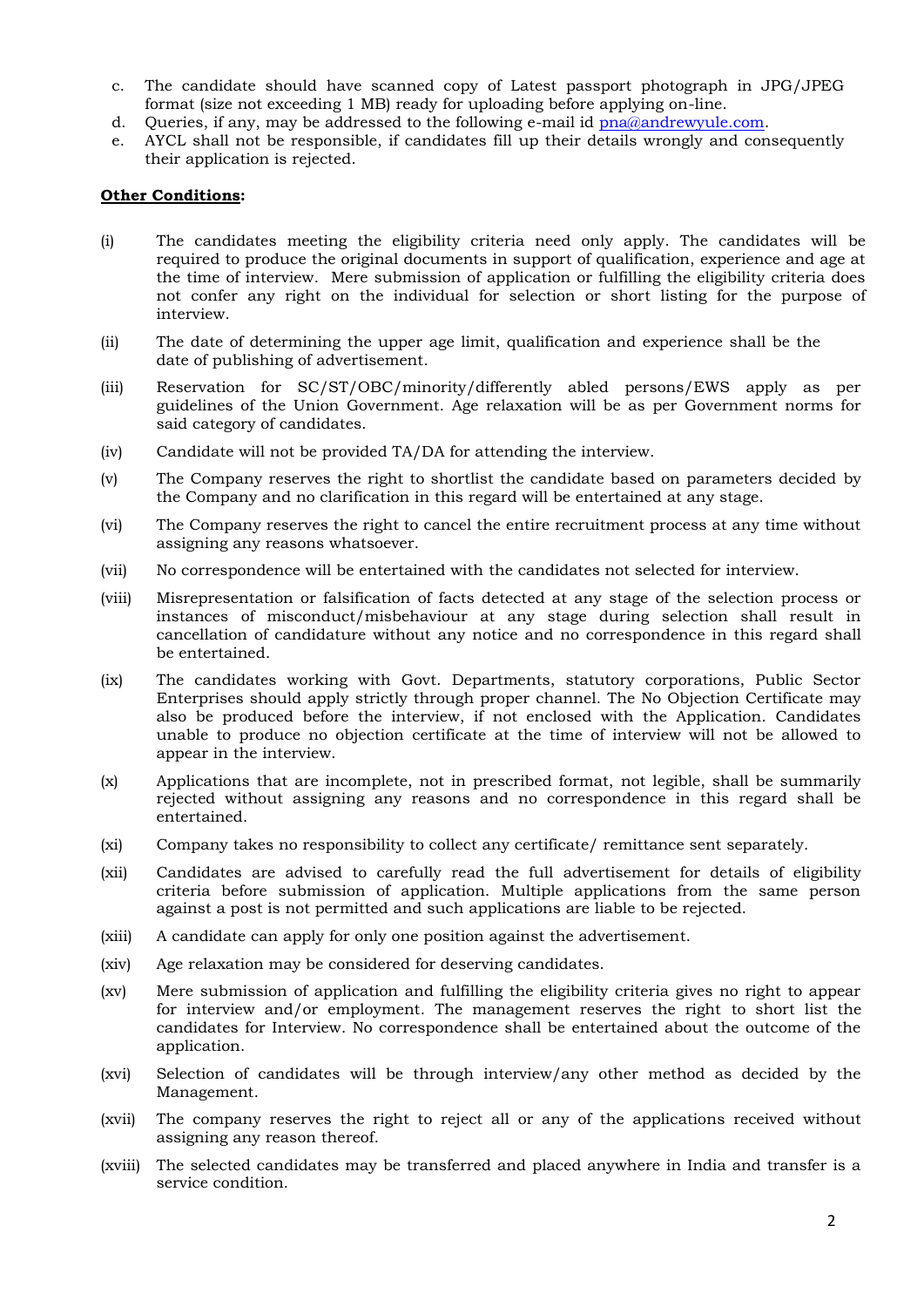- c. The candidate should have scanned copy of Latest passport photograph in JPG/JPEG format (size not exceeding 1 MB) ready for uploading before applying on-line.
- d. Queries, if any, may be addressed to the following e-mail id [pna@andrewyule.com.](mailto:pna@andrewyule.com)
- e. AYCL shall not be responsible, if candidates fill up their details wrongly and consequently their application is rejected.

# **Other Conditions:**

- (i) The candidates meeting the eligibility criteria need only apply. The candidates will be required to produce the original documents in support of qualification, experience and age at the time of interview. Mere submission of application or fulfilling the eligibility criteria does not confer any right on the individual for selection or short listing for the purpose of interview.
- (ii) The date of determining the upper age limit, qualification and experience shall be the date of publishing of advertisement.
- (iii) Reservation for SC/ST/OBC/minority/differently abled persons/EWS apply as per guidelines of the Union Government. Age relaxation will be as per Government norms for said category of candidates.
- (iv) Candidate will not be provided TA/DA for attending the interview.
- (v) The Company reserves the right to shortlist the candidate based on parameters decided by the Company and no clarification in this regard will be entertained at any stage.
- (vi) The Company reserves the right to cancel the entire recruitment process at any time without assigning any reasons whatsoever.
- (vii) No correspondence will be entertained with the candidates not selected for interview.
- (viii) Misrepresentation or falsification of facts detected at any stage of the selection process or instances of misconduct/misbehaviour at any stage during selection shall result in cancellation of candidature without any notice and no correspondence in this regard shall be entertained.
- (ix) The candidates working with Govt. Departments, statutory corporations, Public Sector Enterprises should apply strictly through proper channel. The No Objection Certificate may also be produced before the interview, if not enclosed with the Application. Candidates unable to produce no objection certificate at the time of interview will not be allowed to appear in the interview.
- (x) Applications that are incomplete, not in prescribed format, not legible, shall be summarily rejected without assigning any reasons and no correspondence in this regard shall be entertained.
- (xi) Company takes no responsibility to collect any certificate/ remittance sent separately.
- (xii) Candidates are advised to carefully read the full advertisement for details of eligibility criteria before submission of application. Multiple applications from the same person against a post is not permitted and such applications are liable to be rejected.
- (xiii) A candidate can apply for only one position against the advertisement.
- (xiv) Age relaxation may be considered for deserving candidates.
- (xv) Mere submission of application and fulfilling the eligibility criteria gives no right to appear for interview and/or employment. The management reserves the right to short list the candidates for Interview. No correspondence shall be entertained about the outcome of the application.
- (xvi) Selection of candidates will be through interview/any other method as decided by the Management.
- (xvii) The company reserves the right to reject all or any of the applications received without assigning any reason thereof.
- (xviii) The selected candidates may be transferred and placed anywhere in India and transfer is a service condition.